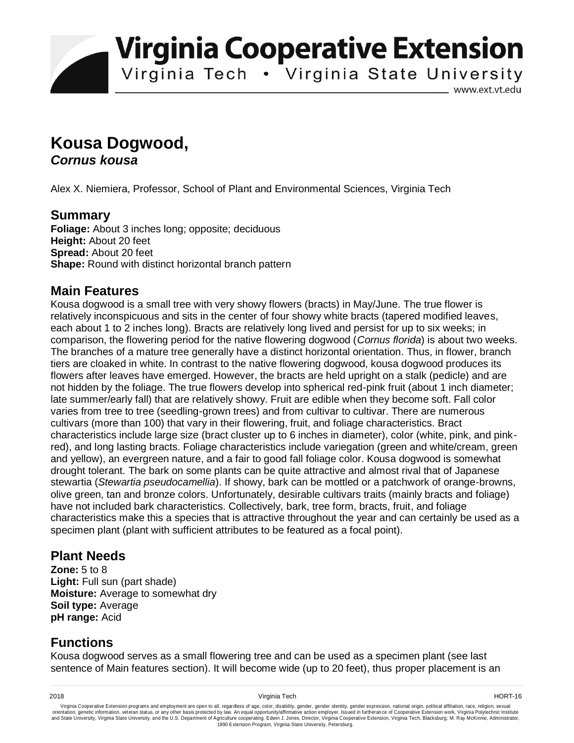**Virginia Cooperative Extension** 

Virginia Tech . Virginia State University

www.ext.vt.edu

# **Kousa Dogwood,**  *Cornus kousa*

Alex X. Niemiera, Professor, School of Plant and Environmental Sciences, Virginia Tech

#### **Summary**

**Foliage:** About 3 inches long; opposite; deciduous **Height:** About 20 feet **Spread:** About 20 feet **Shape:** Round with distinct horizontal branch pattern

## **Main Features**

Kousa dogwood is a small tree with very showy flowers (bracts) in May/June. The true flower is relatively inconspicuous and sits in the center of four showy white bracts (tapered modified leaves, each about 1 to 2 inches long). Bracts are relatively long lived and persist for up to six weeks; in comparison, the flowering period for the native flowering dogwood (*Cornus florida*) is about two weeks. The branches of a mature tree generally have a distinct horizontal orientation. Thus, in flower, branch tiers are cloaked in white. In contrast to the native flowering dogwood, kousa dogwood produces its flowers after leaves have emerged. However, the bracts are held upright on a stalk (pedicle) and are not hidden by the foliage. The true flowers develop into spherical red-pink fruit (about 1 inch diameter; late summer/early fall) that are relatively showy. Fruit are edible when they become soft. Fall color varies from tree to tree (seedling-grown trees) and from cultivar to cultivar. There are numerous cultivars (more than 100) that vary in their flowering, fruit, and foliage characteristics. Bract characteristics include large size (bract cluster up to 6 inches in diameter), color (white, pink, and pinkred), and long lasting bracts. Foliage characteristics include variegation (green and white/cream, green and yellow), an evergreen nature, and a fair to good fall foliage color. Kousa dogwood is somewhat drought tolerant. The bark on some plants can be quite attractive and almost rival that of Japanese stewartia (*Stewartia pseudocamellia*). If showy, bark can be mottled or a patchwork of orange-browns, olive green, tan and bronze colors. Unfortunately, desirable cultivars traits (mainly bracts and foliage) have not included bark characteristics. Collectively, bark, tree form, bracts, fruit, and foliage characteristics make this a species that is attractive throughout the year and can certainly be used as a specimen plant (plant with sufficient attributes to be featured as a focal point).

## **Plant Needs**

**Zone:** 5 to 8 **Light:** Full sun (part shade) **Moisture:** Average to somewhat dry **Soil type:** Average **pH range:** Acid

# **Functions**

Kousa dogwood serves as a small flowering tree and can be used as a specimen plant (see last sentence of Main features section). It will become wide (up to 20 feet), thus proper placement is an

2018 Virginia Tech HORT-16

Virginia Cooperative Extension programs and employment are open to all, regardless of age, color, disability, gender, gender identity, gender expression, national origin, political affiliation, race, religion, sexual وrie 1890 Extension Program, Virginia State University, Petersburg.